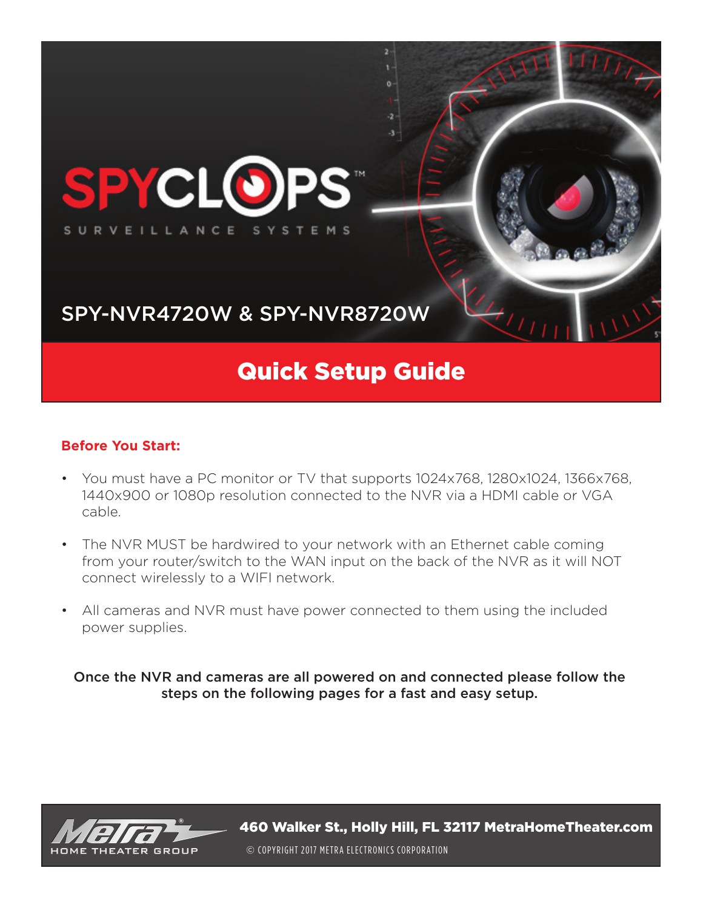

#### **Before You Start:**

- You must have a PC monitor or TV that supports 1024x768, 1280x1024, 1366x768, 1440x900 or 1080p resolution connected to the NVR via a HDMI cable or VGA cable.
- The NVR MUST be hardwired to your network with an Ethernet cable coming from your router/switch to the WAN input on the back of the NVR as it will NOT connect wirelessly to a WIFI network.
- All cameras and NVR must have power connected to them using the included power supplies.

Once the NVR and cameras are all powered on and connected please follow the steps on the following pages for a fast and easy setup.

![](_page_0_Picture_6.jpeg)

460 Walker St., Holly Hill, FL 32117 MetraHomeTheater.com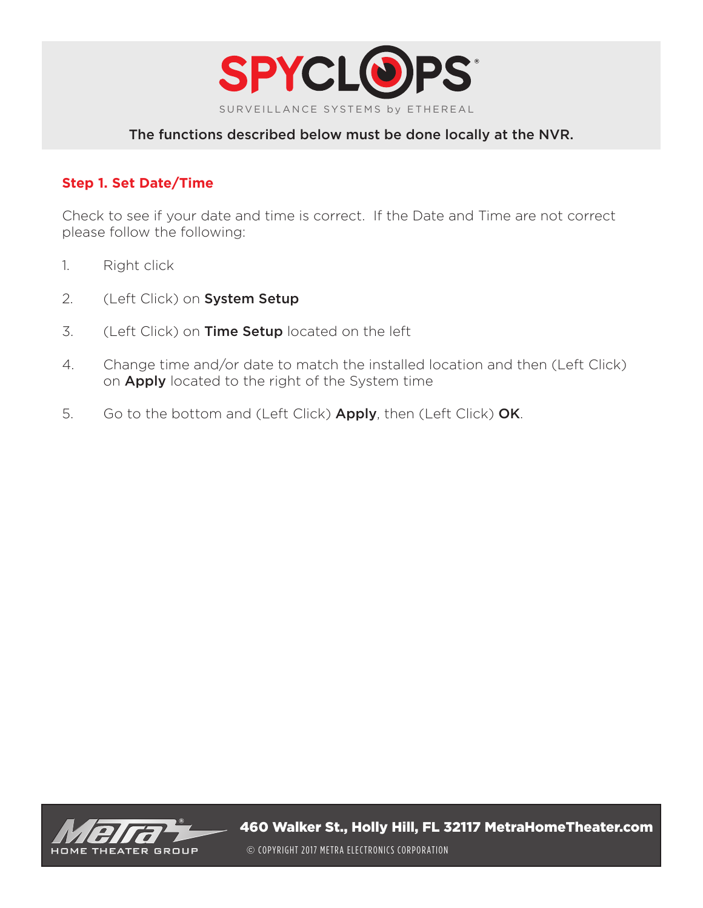![](_page_1_Picture_0.jpeg)

#### **Step 1. Set Date/Time**

Check to see if your date and time is correct. If the Date and Time are not correct please follow the following:

- 1. Right click
- 2. (Left Click) on System Setup
- 3. (Left Click) on Time Setup located on the left
- 4. Change time and/or date to match the installed location and then (Left Click) on **Apply** located to the right of the System time
- 5. Go to the bottom and (Left Click) Apply, then (Left Click) OK.

![](_page_1_Picture_9.jpeg)

460 Walker St., Holly Hill, FL 32117 MetraHomeTheater.com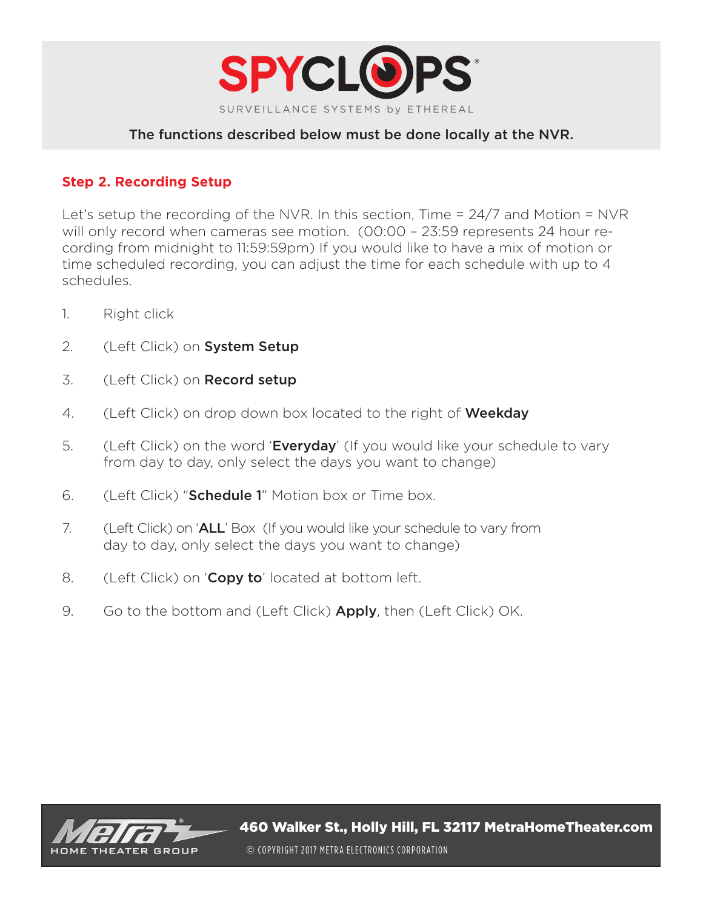![](_page_2_Picture_0.jpeg)

## **Step 2. Recording Setup**

Let's setup the recording of the NVR. In this section, Time = 24/7 and Motion = NVR will only record when cameras see motion. (00:00 – 23:59 represents 24 hour recording from midnight to 11:59:59pm) If you would like to have a mix of motion or time scheduled recording, you can adjust the time for each schedule with up to 4 schedules.

- 1. Right click
- 2. (Left Click) on System Setup
- 3. (Left Click) on **Record setup**
- 4. (Left Click) on drop down box located to the right of **Weekday**
- 5. (Left Click) on the word 'Everyday' (If you would like your schedule to vary from day to day, only select the days you want to change)
- 6. (Left Click) "**Schedule 1**" Motion box or Time box.
- 7. (Left Click) on 'ALL' Box (If you would like your schedule to vary from day to day, only select the days you want to change)
- 8. (Left Click) on 'Copy to' located at bottom left.
- 9. Go to the bottom and (Left Click) **Apply**, then (Left Click) OK.

![](_page_2_Picture_13.jpeg)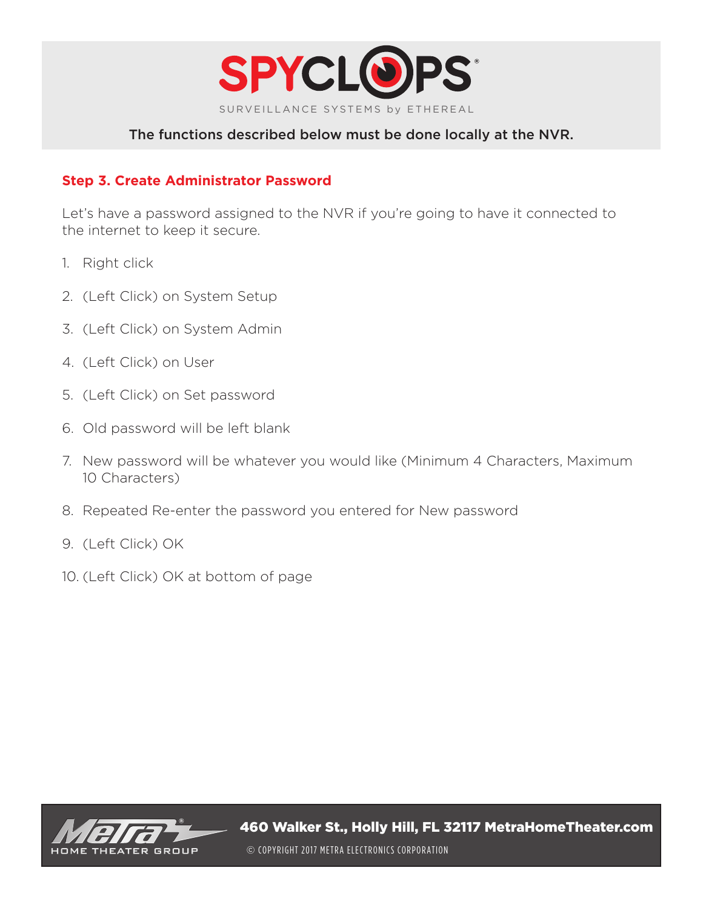![](_page_3_Picture_0.jpeg)

## **Step 3. Create Administrator Password**

Let's have a password assigned to the NVR if you're going to have it connected to the internet to keep it secure.

- 1. Right click
- 2. (Left Click) on System Setup
- 3. (Left Click) on System Admin
- 4. (Left Click) on User
- 5. (Left Click) on Set password
- 6. Old password will be left blank
- 7. New password will be whatever you would like (Minimum 4 Characters, Maximum 10 Characters)
- 8. Repeated Re-enter the password you entered for New password
- 9. (Left Click) OK
- 10. (Left Click) OK at bottom of page

![](_page_3_Picture_14.jpeg)

460 Walker St., Holly Hill, FL 32117 MetraHomeTheater.com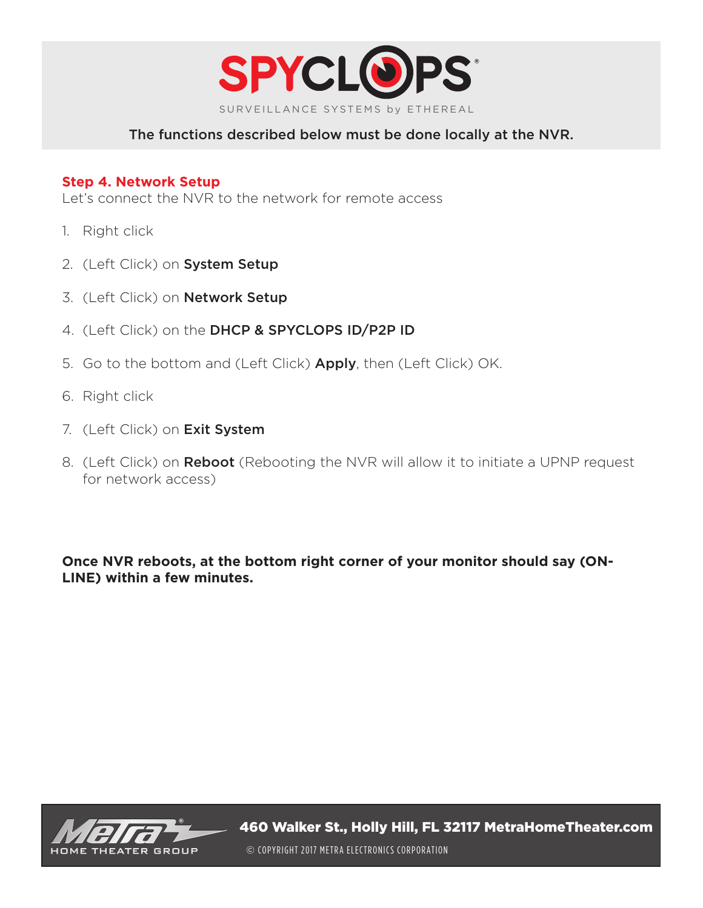![](_page_4_Picture_0.jpeg)

#### **Step 4. Network Setup**

Let's connect the NVR to the network for remote access

- 1. Right click
- 2. (Left Click) on System Setup
- 3. (Left Click) on Network Setup
- 4. (Left Click) on the DHCP & SPYCLOPS ID/P2P ID
- 5. Go to the bottom and (Left Click) **Apply**, then (Left Click) OK.
- 6. Right click
- 7. (Left Click) on Exit System
- 8. (Left Click) on **Reboot** (Rebooting the NVR will allow it to initiate a UPNP request for network access)

**Once NVR reboots, at the bottom right corner of your monitor should say (ON-LINE) within a few minutes.** 

![](_page_4_Picture_13.jpeg)

460 Walker St., Holly Hill, FL 32117 MetraHomeTheater.com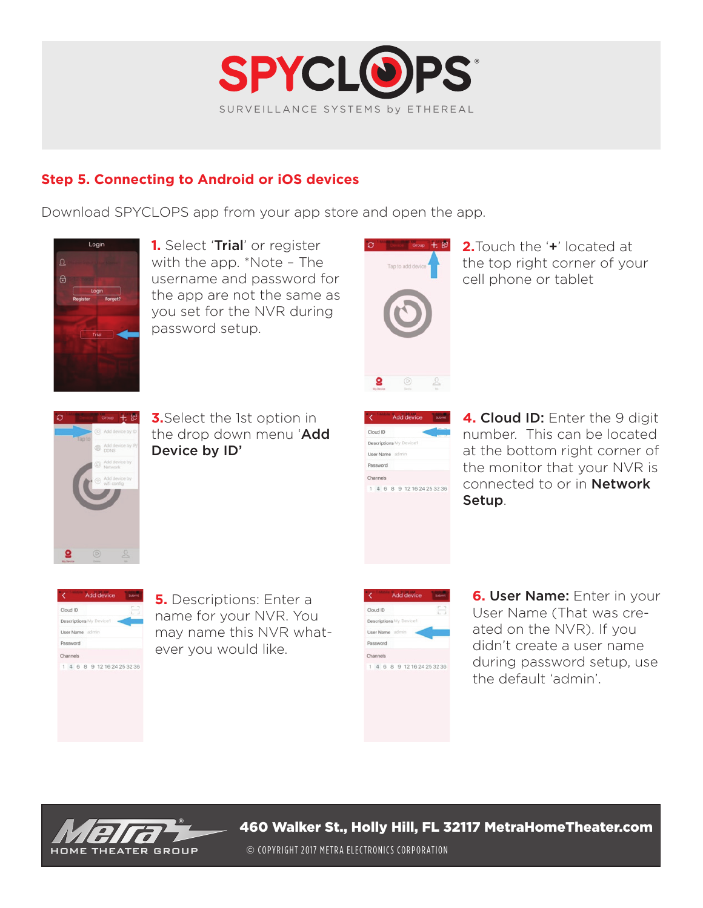![](_page_5_Picture_0.jpeg)

# **Step 5. Connecting to Android or iOS devices**

Download SPYCLOPS app from your app store and open the app.

![](_page_5_Picture_3.jpeg)

**1.** Select 'Trial' or register with the app.  $*$ Note  $-$  The username and password for the app are not the same as you set for the NVR during password setup.

![](_page_5_Picture_5.jpeg)

**2.** Touch the '+' located at the top right corner of your cell phone or tablet

![](_page_5_Picture_7.jpeg)

**3.** Select the 1st option in the drop down menu 'Add Device by ID'

| Cloud ID        |                             | $\sim$ |
|-----------------|-----------------------------|--------|
|                 | Descriptions My Device1     |        |
| User Name admin |                             |        |
| Password        |                             |        |
| Channels        |                             |        |
|                 | 1 4 6 8 9 12 16 24 25 32 36 |        |

4. Cloud ID: Enter the 9 digit number. This can be located at the bottom right corner of the monitor that your NVR is connected to or in **Network** Setup.

| Cloud ID                    |  |  |  |
|-----------------------------|--|--|--|
| Descriptions My Device1     |  |  |  |
| User Name admin             |  |  |  |
| Password                    |  |  |  |
| Channels                    |  |  |  |
| 1 4 6 8 9 12 16 24 25 32 36 |  |  |  |

**5.** Descriptions: Enter a name for your NVR. You may name this NVR whatever you would like.

|                 | <b>Add device</b>           | Submit |
|-----------------|-----------------------------|--------|
| Cloud ID        |                             |        |
|                 | Descriptions My Device1     |        |
| User Name admin |                             |        |
| Password        |                             |        |
| Channels        |                             |        |
|                 | 1 4 6 8 9 12 16 24 25 32 36 |        |

**6. User Name:** Enter in your User Name (That was created on the NVR). If you didn't create a user name during password setup, use the default 'admin'.

![](_page_5_Picture_15.jpeg)

460 Walker St., Holly Hill, FL 32117 MetraHomeTheater.com

© COPYRIGHT 2017 METRA ELECTRONICS CORPORATION © COPYRIGHT 2017 METRA ELECTRONICS CORPORATION